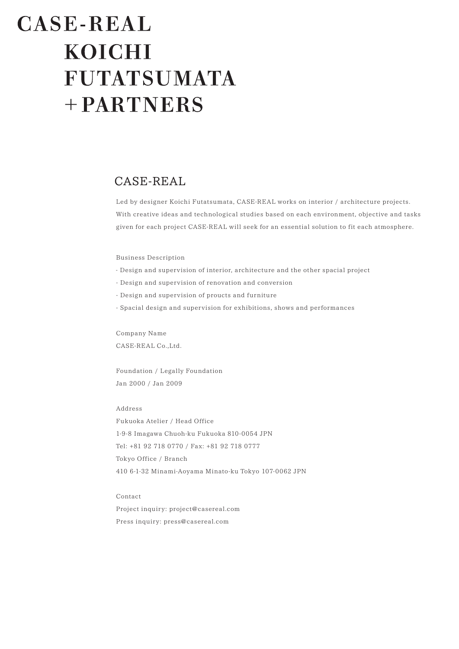# CASE-REAL **KOICHI FUTATSUMATA** + PARTNERS

# CASE-REAL

Led by designer Koichi Futatsumata, CASE-REAL works on interior / architecture projects. With creative ideas and technological studies based on each environment, objective and tasks given for each project CASE-REAL will seek for an essential solution to fit each atmosphere.

# Business Description

- Design and supervision of interior, architecture and the other spacial project
- Design and supervision of renovation and conversion
- Design and supervision of proucts and furniture
- Spacial design and supervision for exhibitions, shows and performances

Company Name CASE-REAL Co.,Ltd.

Foundation / Legally Foundation Jan 2000 / Jan 2009

# Address

Fukuoka Atelier / Head Office 1-9-8 Imagawa Chuoh-ku Fukuoka 810-0054 JPN Tel: +81 92 718 0770 / Fax: +81 92 718 0777 Tokyo Office / Branch 410 6-1-32 Minami-Aoyama Minato-ku Tokyo 107-0062 JPN

Contact

Project inquiry: project@casereal.com Press inquiry: press@casereal.com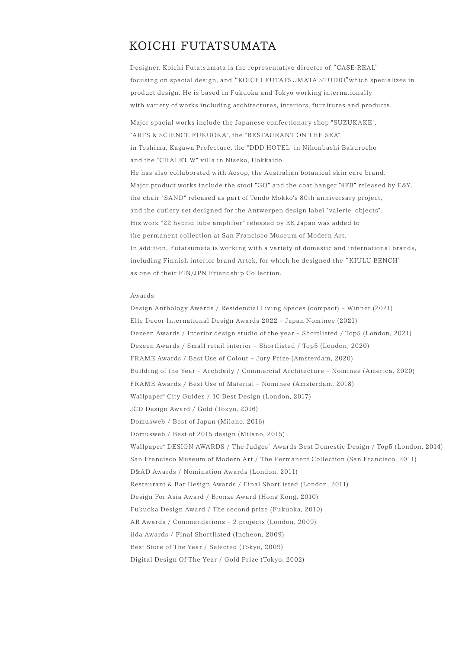# KOICHI FUTATSUMATA

Designer. Koichi Futatsumata is the representative director of "CASE-REAL" focusing on spacial design, and "KOICHI FUTATSUMATA STUDIO"which specializes in product design. He is based in Fukuoka and Tokyo working internationally with variety of works including architectures, interiors, furnitures and products.

Major spacial works include the Japanese confectionary shop "SUZUKAKE", "ARTS & SCIENCE FUKUOKA", the "RESTAURANT ON THE SEA" in Teshima, Kagawa Prefecture, the "DDD HOTEL" in Nihonbashi Bakurocho and the "CHALET W" villa in Niseko, Hokkaido. He has also collaborated with Aesop, the Australian botanical skin care brand. Major product works include the stool "GO" and the coat hanger "4FB" released by E&Y, the chair "SAND" released as part of Tendo Mokko's 80th anniversary project, and the cutlery set designed for the Antwerpen design label "valerie\_objects". His work "22 hybrid tube amplifier" released by EK Japan was added to the permanent collection at San Francisco Museum of Modern Art. In addition, Futatsumata is working with a variety of domestic and international brands, including Finnish interior brand Artek, for which he designed the "KIULU BENCH" as one of their FIN/JPN Friendship Collection.

# Awards

Design Anthology Awards / Residencial Living Spaces (compact) – Winner (2021) Elle Decor International Design Awards 2022 – Japan Nominee (2021) Dezeen Awards / Interior design studio of the year – Shortlisted / Top5 (London, 2021) Dezeen Awards / Small retail interior – Shortlisted / Top5 (London, 2020) FRAME Awards / Best Use of Colour – Jury Prize (Amsterdam, 2020) Building of the Year – Archdaily / Commercial Architecture – Nominee (America, 2020) FRAME Awards / Best Use of Material – Nominee (Amsterdam, 2018) Wallpaper\* City Guides / 10 Best Design (London, 2017) JCD Design Award / Gold (Tokyo, 2016) Domusweb / Best of Japan (Milano, 2016) Domusweb / Best of 2015 design (Milano, 2015) Wallpaper\* DESIGN AWARDS / The Judges' Awards Best Domestic Design / Top5 (London, 2014) San Francisco Museum of Modern Art / The Permanent Collection (San Francisco, 2011) D&AD Awards / Nomination Awards (London, 2011) Restaurant & Bar Design Awards / Final Shortlisted (London, 2011) Design For Asia Award / Bronze Award (Hong Kong, 2010) Fukuoka Design Award / The second prize (Fukuoka, 2010) AR Awards / Commendations – 2 projects (London, 2009) iida Awards / Final Shortlisted (Incheon, 2009) Best Store of The Year / Selected (Tokyo, 2009) Digital Design Of The Year / Gold Prize (Tokyo, 2002)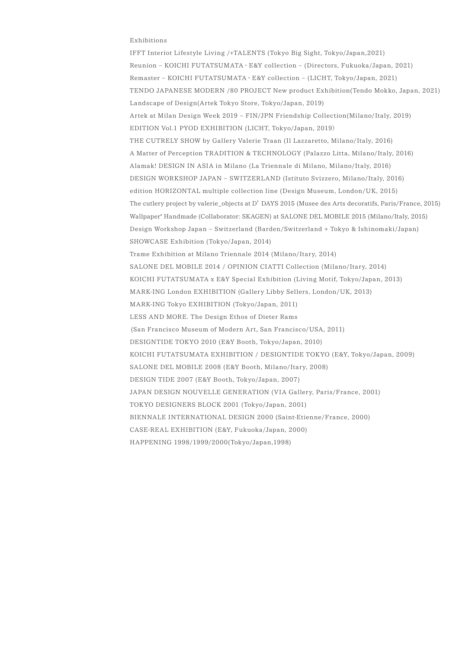# Exhibitions

IFFT Interiot Lifestyle Living /+TALENTS (Tokyo Big Sight, Tokyo/Japan,2021) Reunion – KOICHI FUTATSUMATA ・ E&Y collection – (Directors, Fukuoka/Japan, 2021) Remaster – KOICHI FUTATSUMATA ・ E&Y collection – (LICHT, Tokyo/Japan, 2021) TENDO JAPANESE MODERN /80 PROJECT New product Exhibition(Tendo Mokko, Japan, 2021) Landscape of Design(Artek Tokyo Store, Tokyo/Japan, 2019) Artek at Milan Design Week 2019 – FIN/JPN Friendship Collection(Milano/Italy, 2019) EDITION Vol.1 PYOD EXHIBITION (LICHT, Tokyo/Japan, 2019) THE CUTRELY SHOW by Gallery Valerie Traan (Il Lazzaretto, Milano/Italy, 2016) A Matter of Perception TRADITION & TECHNOLOGY (Palazzo Litta, Milano/Italy, 2016) Alamak! DESIGN IN ASIA in Milano (La Triennale di Milano, Milano/Italy, 2016) DESIGN WORKSHOP JAPAN – SWITZERLAND (Istituto Svizzero, Milano/Italy, 2016) edition HORIZONTAL multiple collection line (Design Museum, London/UK, 2015) The cutlery project by valerie\_objects at D' DAYS 2015 (Musee des Arts decoratifs, Paris/France, 2015) Wallpaper\* Handmade (Collaborator: SKAGEN) at SALONE DEL MOBILE 2015 (Milano/Italy, 2015) Design Workshop Japan – Switzerland (Barden/Switzerland + Tokyo & Ishinomaki/Japan) SHOWCASE Exhibition (Tokyo/Japan, 2014) Trame Exhibition at Milano Triennale 2014 (Milano/Itary, 2014) SALONE DEL MOBILE 2014 / OPINION CIATTI Collection (Milano/Itary, 2014) KOICHI FUTATSUMATA x E&Y Special Exhibition (Living Motif, Tokyo/Japan, 2013) MARK-ING London EXHIBITION (Gallery Libby Sellers, London/UK, 2013) MARK-ING Tokyo EXHIBITION (Tokyo/Japan, 2011) LESS AND MORE. The Design Ethos of Dieter Rams (San Francisco Museum of Modern Art, San Francisco/USA, 2011) DESIGNTIDE TOKYO 2010 (E&Y Booth, Tokyo/Japan, 2010) KOICHI FUTATSUMATA EXHIBITION / DESIGNTIDE TOKYO (E&Y, Tokyo/Japan, 2009) SALONE DEL MOBILE 2008 (E&Y Booth, Milano/Itary, 2008) DESIGN TIDE 2007 (E&Y Booth, Tokyo/Japan, 2007) JAPAN DESIGN NOUVELLE GENERATION (VIA Gallery, Paris/France, 2001) TOKYO DESIGNERS BLOCK 2001 (Tokyo/Japan, 2001) BIENNALE INTERNATIONAL DESIGN 2000 (Saint-Etienne/France, 2000) CASE-REAL EXHIBITION (E&Y, Fukuoka/Japan, 2000) HAPPENING 1998/1999/2000(Tokyo/Japan,1998)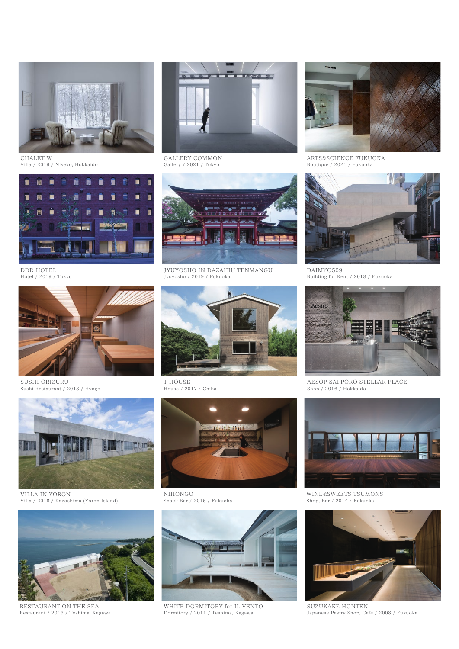

CHALET W Villa / 2019 / Niseko, Hokkaido



GALLERY COMMON Gallery / 2021 / Tokyo



ARTS&SCIENCE FUKUOKA Boutique / 2021 / Fukuoka



DDD HOTEL Hotel / 2019 / Tokyo



SUSHI ORIZURU Sushi Restaurant / 2018 / Hyogo



VILLA IN YORON Villa / 2016 / Kagoshima (Yoron Island)

![](_page_3_Picture_12.jpeg)

RESTAURANT ON THE SEA Restaurant / 2013 / Teshima, Kagawa

![](_page_3_Picture_14.jpeg)

![](_page_3_Picture_16.jpeg)

DAIMYO509 Building for Rent / 2018 / Fukuoka

![](_page_3_Picture_18.jpeg)

AESOP SAPPORO STELLAR PLACE Shop / 2016 / Hokkaido

![](_page_3_Picture_20.jpeg)

WINE&SWEETS TSUMONS Shop, Bar / 2014 / Fukuoka

![](_page_3_Picture_22.jpeg)

SUZUKAKE HONTEN Japanese Pastry Shop, Cafe / 2008 / Fukuoka

![](_page_3_Picture_24.jpeg)

T HOUSE House / 2017 / Chiba

![](_page_3_Picture_26.jpeg)

NIHONGO Snack Bar / 2015 / Fukuoka

![](_page_3_Picture_28.jpeg)

WHITE DORMITORY for IL VENTO Dormitory / 2011 / Teshima, Kagawa